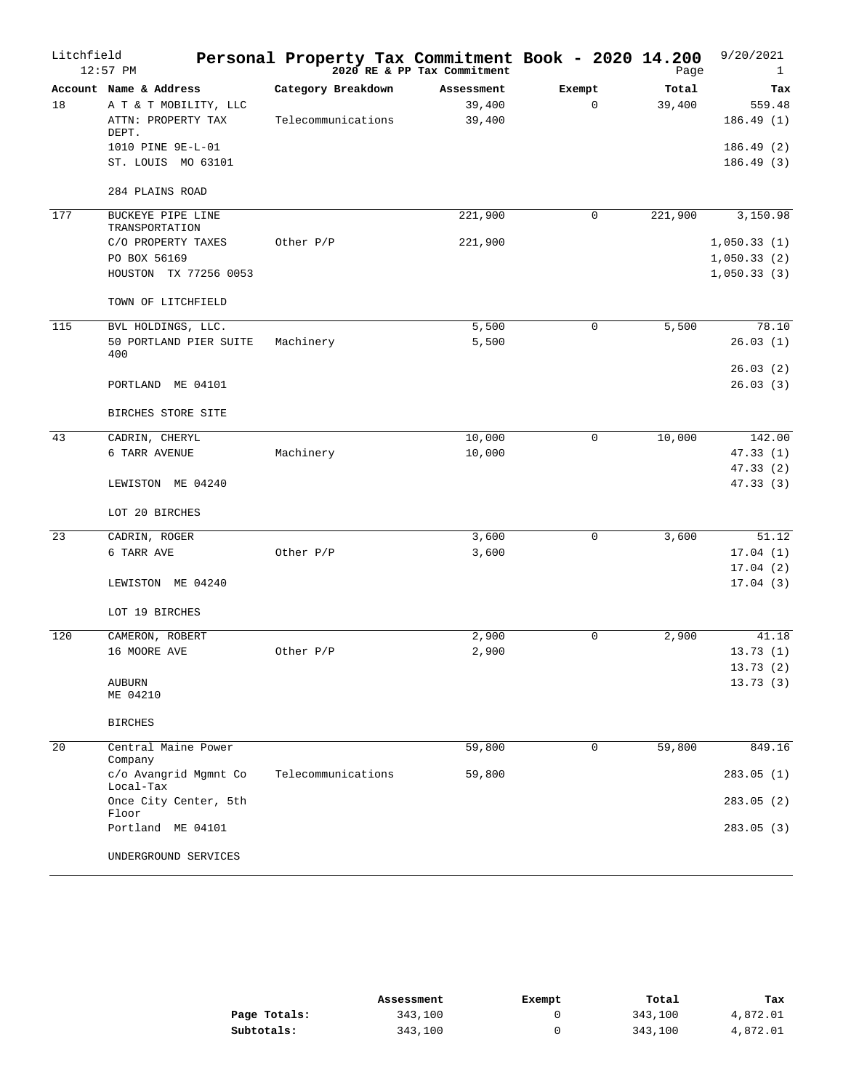| Litchfield | $12:57$ PM                                                                                          | Personal Property Tax Commitment Book - 2020 14.200 | 2020 RE & PP Tax Commitment    |                       | Page            | 9/20/2021<br>1                          |
|------------|-----------------------------------------------------------------------------------------------------|-----------------------------------------------------|--------------------------------|-----------------------|-----------------|-----------------------------------------|
| 18         | Account Name & Address<br>A T & T MOBILITY, LLC<br>ATTN: PROPERTY TAX<br>DEPT.<br>1010 PINE 9E-L-01 | Category Breakdown<br>Telecommunications            | Assessment<br>39,400<br>39,400 | Exempt<br>$\mathbf 0$ | Total<br>39,400 | Tax<br>559.48<br>186.49(1)<br>186.49(2) |
|            | ST. LOUIS MO 63101<br>284 PLAINS ROAD                                                               |                                                     |                                |                       |                 | 186.49(3)                               |
| 177        | BUCKEYE PIPE LINE<br>TRANSPORTATION<br>C/O PROPERTY TAXES                                           | Other P/P                                           | 221,900<br>221,900             | 0                     | 221,900         | 3,150.98<br>1,050.33(1)                 |
|            | PO BOX 56169<br>HOUSTON TX 77256 0053                                                               |                                                     |                                |                       |                 | 1,050.33(2)<br>1,050.33(3)              |
|            | TOWN OF LITCHFIELD                                                                                  |                                                     |                                |                       |                 |                                         |
| 115        | BVL HOLDINGS, LLC.<br>50 PORTLAND PIER SUITE<br>400                                                 | Machinery                                           | 5,500<br>5,500                 | $\mathbf 0$           | 5,500           | 78.10<br>26.03(1)                       |
|            | PORTLAND ME 04101                                                                                   |                                                     |                                |                       |                 | 26.03(2)<br>26.03(3)                    |
|            | BIRCHES STORE SITE                                                                                  |                                                     |                                |                       |                 |                                         |
| 43         | CADRIN, CHERYL<br>6 TARR AVENUE                                                                     | Machinery                                           | 10,000<br>10,000               | $\mathbf 0$           | 10,000          | 142.00<br>47.33 (1)<br>47.33(2)         |
|            | LEWISTON ME 04240<br>LOT 20 BIRCHES                                                                 |                                                     |                                |                       |                 | 47.33(3)                                |
| 23         | CADRIN, ROGER                                                                                       |                                                     | 3,600                          | $\mathbf 0$           | 3,600           | 51.12                                   |
|            | 6 TARR AVE                                                                                          | Other P/P                                           | 3,600                          |                       |                 | 17.04(1)<br>17.04(2)                    |
|            | LEWISTON ME 04240                                                                                   |                                                     |                                |                       |                 | 17.04(3)                                |
| 120        | LOT 19 BIRCHES                                                                                      |                                                     | 2,900                          | $\mathbf 0$           | 2,900           | 41.18                                   |
|            | CAMERON, ROBERT<br>16 MOORE AVE                                                                     | Other P/P                                           | 2,900                          |                       |                 | 13.73(1)<br>13.73(2)                    |
|            | <b>AUBURN</b><br>ME 04210                                                                           |                                                     |                                |                       |                 | 13.73(3)                                |
|            | <b>BIRCHES</b>                                                                                      |                                                     |                                |                       |                 |                                         |
| 20         | Central Maine Power<br>Company                                                                      |                                                     | 59,800                         | 0                     | 59,800          | 849.16                                  |
|            | c/o Avangrid Mgmnt Co<br>Local-Tax                                                                  | Telecommunications                                  | 59,800                         |                       |                 | 283.05(1)                               |
|            | Once City Center, 5th<br>Floor                                                                      |                                                     |                                |                       |                 | 283.05(2)                               |
|            | Portland ME 04101                                                                                   |                                                     |                                |                       |                 | 283.05(3)                               |
|            | UNDERGROUND SERVICES                                                                                |                                                     |                                |                       |                 |                                         |

|              | Assessment | Exempt | Total   | Tax      |
|--------------|------------|--------|---------|----------|
| Page Totals: | 343,100    |        | 343,100 | 4,872.01 |
| Subtotals:   | 343,100    |        | 343,100 | 4,872.01 |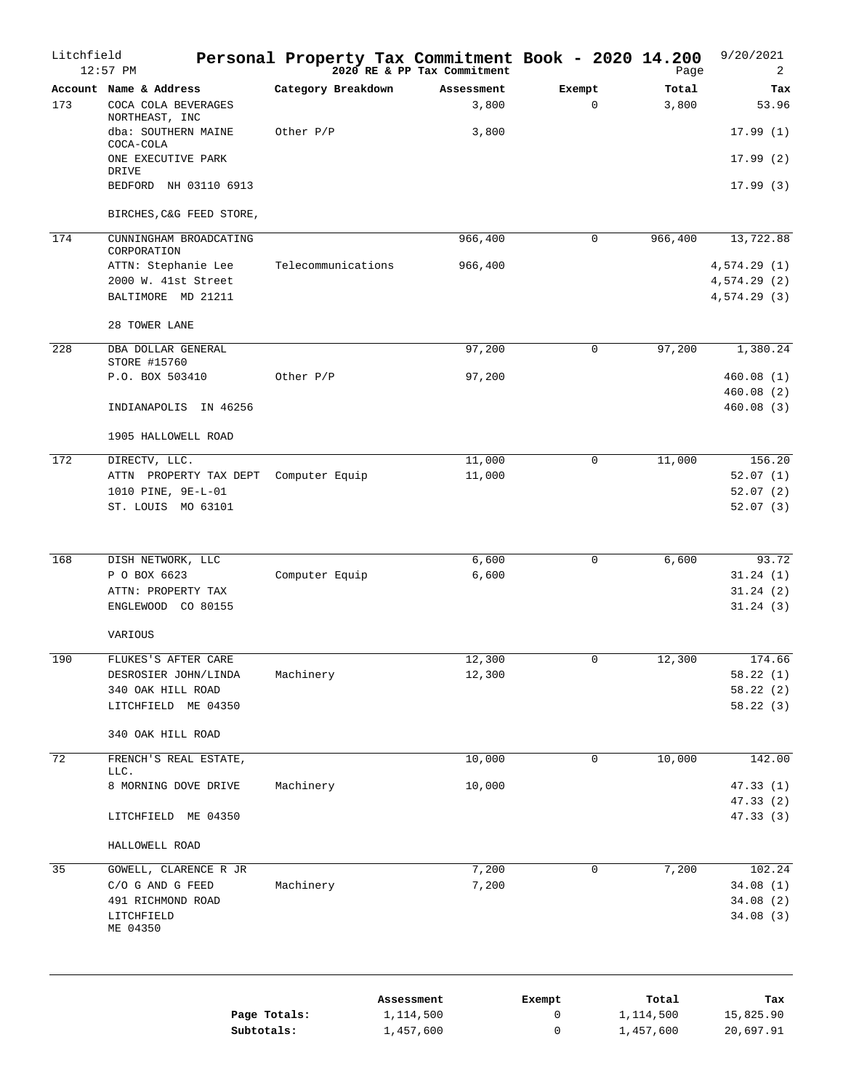| Litchfield      | $12:57$ PM                                         |                    | Personal Property Tax Commitment Book - 2020 14.200<br>$2020$ RE & PP Tax Commitment |                       | Page           | 9/20/2021<br>2             |
|-----------------|----------------------------------------------------|--------------------|--------------------------------------------------------------------------------------|-----------------------|----------------|----------------------------|
| 173             | Account Name & Address<br>COCA COLA BEVERAGES      | Category Breakdown | Assessment<br>3,800                                                                  | Exempt<br>$\mathbf 0$ | Total<br>3,800 | Tax<br>53.96               |
|                 | NORTHEAST, INC<br>dba: SOUTHERN MAINE<br>COCA-COLA | Other P/P          | 3,800                                                                                |                       |                | 17.99(1)                   |
|                 | ONE EXECUTIVE PARK<br>DRIVE                        |                    |                                                                                      |                       |                | 17.99(2)                   |
|                 | BEDFORD NH 03110 6913                              |                    |                                                                                      |                       |                | 17.99(3)                   |
| 174             | BIRCHES, C&G FEED STORE,<br>CUNNINGHAM BROADCATING |                    | 966,400                                                                              | 0                     | 966,400        | 13,722.88                  |
|                 | CORPORATION                                        |                    |                                                                                      |                       |                |                            |
|                 | ATTN: Stephanie Lee<br>2000 W. 41st Street         | Telecommunications | 966,400                                                                              |                       |                | 4,574.29(1)<br>4,574.29(2) |
|                 | BALTIMORE MD 21211                                 |                    |                                                                                      |                       |                | 4,574.29 (3)               |
|                 | 28 TOWER LANE                                      |                    |                                                                                      |                       |                |                            |
| 228             | DBA DOLLAR GENERAL<br>STORE #15760                 |                    | 97,200                                                                               | $\mathbf 0$           | 97,200         | 1,380.24                   |
|                 | P.O. BOX 503410                                    | Other P/P          | 97,200                                                                               |                       |                | 460.08(1)                  |
|                 |                                                    |                    |                                                                                      |                       |                | 460.08(2)                  |
|                 | INDIANAPOLIS IN 46256                              |                    |                                                                                      |                       |                | 460.08(3)                  |
|                 | 1905 HALLOWELL ROAD                                |                    |                                                                                      |                       |                |                            |
| 172             | DIRECTV, LLC.                                      |                    | 11,000                                                                               | 0                     | 11,000         | 156.20                     |
|                 | ATTN PROPERTY TAX DEPT Computer Equip              |                    | 11,000                                                                               |                       |                | 52.07(1)                   |
|                 | 1010 PINE, 9E-L-01                                 |                    |                                                                                      |                       |                | 52.07(2)                   |
|                 | ST. LOUIS MO 63101                                 |                    |                                                                                      |                       |                | 52.07(3)                   |
|                 |                                                    |                    |                                                                                      | $\mathbf 0$           |                |                            |
| 168             | DISH NETWORK, LLC<br>P O BOX 6623                  | Computer Equip     | 6,600<br>6,600                                                                       |                       | 6,600          | 93.72<br>31.24(1)          |
|                 | ATTN: PROPERTY TAX                                 |                    |                                                                                      |                       |                | 31.24(2)                   |
|                 | ENGLEWOOD CO 80155                                 |                    |                                                                                      |                       |                | 31.24(3)                   |
|                 | VARIOUS                                            |                    |                                                                                      |                       |                |                            |
| 190             | FLUKES'S AFTER CARE                                |                    | 12,300                                                                               | 0                     | 12,300         | 174.66                     |
|                 | DESROSIER JOHN/LINDA                               | Machinery          | 12,300                                                                               |                       |                | 58.22(1)                   |
|                 | 340 OAK HILL ROAD<br>LITCHFIELD ME 04350           |                    |                                                                                      |                       |                | 58.22(2)<br>58.22(3)       |
|                 | 340 OAK HILL ROAD                                  |                    |                                                                                      |                       |                |                            |
|                 |                                                    |                    |                                                                                      |                       |                |                            |
| $\overline{72}$ | FRENCH'S REAL ESTATE,<br>LLC.                      |                    | 10,000                                                                               | $\mathbf 0$           | 10,000         | 142.00                     |
|                 | 8 MORNING DOVE DRIVE                               | Machinery          | 10,000                                                                               |                       |                | 47.33(1)<br>47.33 (2)      |
|                 | LITCHFIELD ME 04350                                |                    |                                                                                      |                       |                | 47.33 (3)                  |
|                 | HALLOWELL ROAD                                     |                    |                                                                                      |                       |                |                            |
| 35              | GOWELL, CLARENCE R JR                              |                    | 7,200                                                                                | $\mathbf 0$           | 7,200          | 102.24                     |
|                 | C/O G AND G FEED                                   | Machinery          | 7,200                                                                                |                       |                | 34.08(1)                   |
|                 | 491 RICHMOND ROAD                                  |                    |                                                                                      |                       |                | 34.08(2)                   |
|                 | LITCHFIELD<br>ME 04350                             |                    |                                                                                      |                       |                | 34.08(3)                   |
|                 |                                                    |                    | Assessment                                                                           | Exempt                | Total          | Tax                        |
|                 | Page Totals:                                       |                    | 1,114,500                                                                            | 0                     | 1,114,500      | 15,825.90                  |
|                 | Subtotals:                                         |                    | 1,457,600                                                                            | 0                     | 1,457,600      | 20,697.91                  |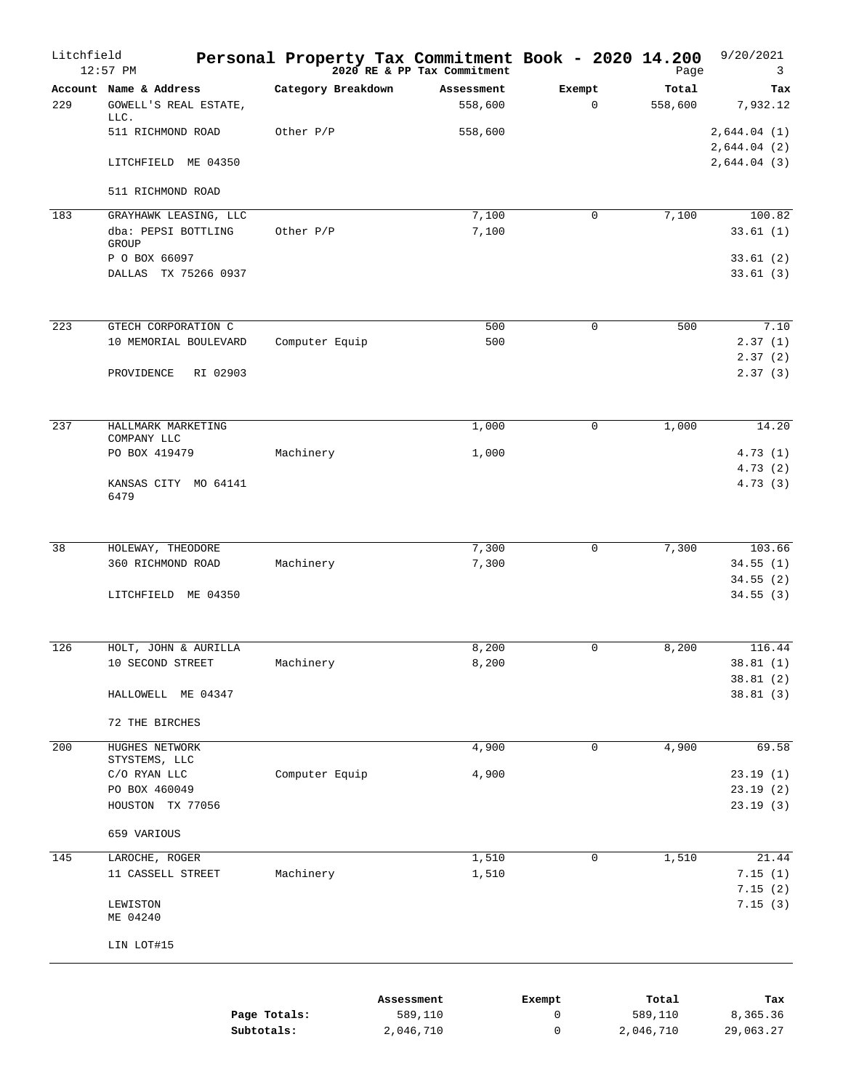| Litchfield | $12:57$ PM                                      |                    | Personal Property Tax Commitment Book - 2020 14.200<br>2020 RE & PP Tax Commitment |                       | Page             | 9/20/2021<br>3             |
|------------|-------------------------------------------------|--------------------|------------------------------------------------------------------------------------|-----------------------|------------------|----------------------------|
| 229        | Account Name & Address<br>GOWELL'S REAL ESTATE, | Category Breakdown | Assessment<br>558,600                                                              | Exempt<br>$\mathbf 0$ | Total<br>558,600 | Tax<br>7,932.12            |
|            | LLC.<br>511 RICHMOND ROAD                       | Other P/P          | 558,600                                                                            |                       |                  | 2,644.04(1)<br>2,644.04(2) |
|            | LITCHFIELD ME 04350                             |                    |                                                                                    |                       |                  | 2,644.04(3)                |
|            | 511 RICHMOND ROAD                               |                    |                                                                                    |                       |                  |                            |
| 183        | GRAYHAWK LEASING, LLC                           |                    | 7,100                                                                              | $\mathbf 0$           | 7,100            | 100.82                     |
|            | dba: PEPSI BOTTLING<br>GROUP                    | Other P/P          | 7,100                                                                              |                       |                  | 33.61(1)                   |
|            | P O BOX 66097                                   |                    |                                                                                    |                       |                  | 33.61(2)                   |
|            | DALLAS TX 75266 0937                            |                    |                                                                                    |                       |                  | 33.61(3)                   |
| 223        | GTECH CORPORATION C                             |                    | 500                                                                                | $\mathbf 0$           | 500              | 7.10                       |
|            | 10 MEMORIAL BOULEVARD                           | Computer Equip     | 500                                                                                |                       |                  | 2.37(1)                    |
|            | RI 02903<br>PROVIDENCE                          |                    |                                                                                    |                       |                  | 2.37(2)<br>2.37(3)         |
| 237        | HALLMARK MARKETING                              |                    | 1,000                                                                              | $\mathbf 0$           | 1,000            | 14.20                      |
|            | COMPANY LLC<br>PO BOX 419479                    | Machinery          | 1,000                                                                              |                       |                  | 4.73(1)                    |
|            |                                                 |                    |                                                                                    |                       |                  | 4.73(2)                    |
|            | KANSAS CITY MO 64141<br>6479                    |                    |                                                                                    |                       |                  | 4.73(3)                    |
| 38         | HOLEWAY, THEODORE                               |                    | 7,300                                                                              | $\Omega$              | 7,300            | 103.66                     |
|            | 360 RICHMOND ROAD                               | Machinery          | 7,300                                                                              |                       |                  | 34.55(1)                   |
|            |                                                 |                    |                                                                                    |                       |                  | 34.55(2)                   |
|            | LITCHFIELD ME 04350                             |                    |                                                                                    |                       |                  | 34.55(3)                   |
| 126        | HOLT, JOHN & AURILLA                            |                    | 8,200                                                                              | $\Omega$              | 8,200            | 116.44                     |
|            | 10 SECOND STREET                                | Machinery          | $8\,, 200$                                                                         |                       |                  | 38.81(1)                   |
|            | HALLOWELL ME 04347                              |                    |                                                                                    |                       |                  | 38.81(2)<br>38.81(3)       |
|            | 72 THE BIRCHES                                  |                    |                                                                                    |                       |                  |                            |
| 200        | HUGHES NETWORK                                  |                    | 4,900                                                                              | $\mathbf 0$           | 4,900            | 69.58                      |
|            | STYSTEMS, LLC                                   |                    |                                                                                    |                       |                  |                            |
|            | C/O RYAN LLC<br>PO BOX 460049                   | Computer Equip     | 4,900                                                                              |                       |                  | 23.19(1)<br>23.19(2)       |
|            | HOUSTON TX 77056                                |                    |                                                                                    |                       |                  | 23.19(3)                   |
|            | 659 VARIOUS                                     |                    |                                                                                    |                       |                  |                            |
| 145        | LAROCHE, ROGER                                  |                    | 1,510                                                                              | $\mathbf 0$           | 1,510            | 21.44                      |
|            | 11 CASSELL STREET                               | Machinery          | 1,510                                                                              |                       |                  | 7.15(1)                    |
|            | LEWISTON<br>ME 04240                            |                    |                                                                                    |                       |                  | 7.15(2)<br>7.15(3)         |
|            | LIN LOT#15                                      |                    |                                                                                    |                       |                  |                            |
|            |                                                 |                    | Assessment                                                                         | Exempt                | Total            | Tax                        |
|            |                                                 | Page Totals:       | 589,110                                                                            | 0                     | 589,110          | 8,365.36                   |

|              | ADDUDDING IIU | ------ | -----     | .         |
|--------------|---------------|--------|-----------|-----------|
| Page Totals: | 589,110       |        | 589,110   | 8,365.36  |
| Subtotals:   | 2,046,710     |        | 2,046,710 | 29,063.27 |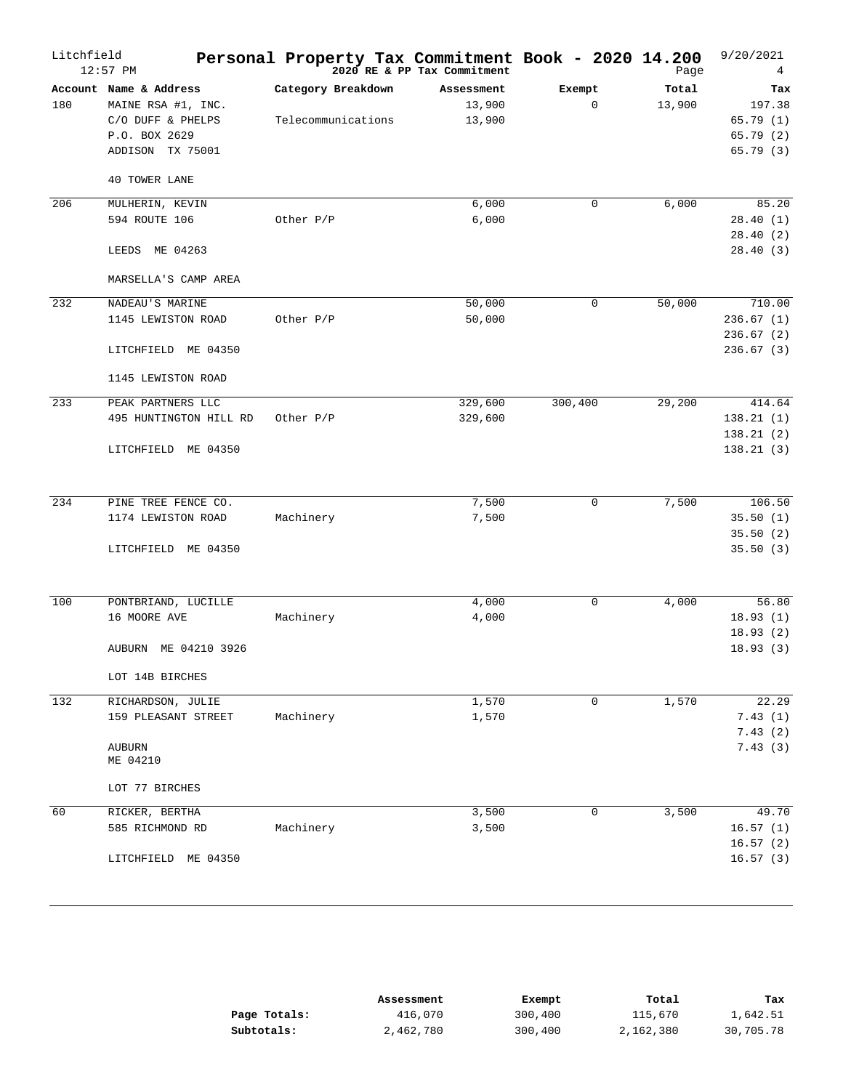| Litchfield | $12:57$ PM                                                                                                                     | Personal Property Tax Commitment Book - 2020 14.200 | 2020 RE & PP Tax Commitment    |                       | Page            | 9/20/2021<br>4                                    |
|------------|--------------------------------------------------------------------------------------------------------------------------------|-----------------------------------------------------|--------------------------------|-----------------------|-----------------|---------------------------------------------------|
| 180        | Account Name & Address<br>MAINE RSA #1, INC.<br>C/O DUFF & PHELPS<br>P.O. BOX 2629<br>ADDISON TX 75001<br><b>40 TOWER LANE</b> | Category Breakdown<br>Telecommunications            | Assessment<br>13,900<br>13,900 | Exempt<br>$\mathbf 0$ | Total<br>13,900 | Tax<br>197.38<br>65.79(1)<br>65.79(2)<br>65.79(3) |
| 206        | MULHERIN, KEVIN<br>594 ROUTE 106<br>LEEDS ME 04263<br>MARSELLA'S CAMP AREA                                                     | Other P/P                                           | 6,000<br>6,000                 | $\mathbf 0$           | 6,000           | 85.20<br>28.40(1)<br>28.40(2)<br>28.40(3)         |
| 232        | NADEAU'S MARINE<br>1145 LEWISTON ROAD<br>LITCHFIELD ME 04350<br>1145 LEWISTON ROAD                                             | Other P/P                                           | 50,000<br>50,000               | $\mathbf 0$           | 50,000          | 710.00<br>236.67(1)<br>236.67(2)<br>236.67(3)     |
| 233        | PEAK PARTNERS LLC<br>495 HUNTINGTON HILL RD<br>LITCHFIELD ME 04350                                                             | Other P/P                                           | 329,600<br>329,600             | 300,400               | 29,200          | 414.64<br>138.21(1)<br>138.21(2)<br>138.21(3)     |
| 234        | PINE TREE FENCE CO.<br>1174 LEWISTON ROAD<br>LITCHFIELD ME 04350                                                               | Machinery                                           | 7,500<br>7,500                 | $\mathbf 0$           | 7,500           | 106.50<br>35.50(1)<br>35.50(2)<br>35.50(3)        |
| 100        | PONTBRIAND, LUCILLE<br>16 MOORE AVE<br>AUBURN ME 04210 3926<br>LOT 14B BIRCHES                                                 | Machinery                                           | 4,000<br>4,000                 | $\mathbf 0$           | 4,000           | 56.80<br>18.93(1)<br>18.93(2)<br>18.93(3)         |
| 132        | RICHARDSON, JULIE<br>159 PLEASANT STREET<br><b>AUBURN</b><br>ME 04210<br>LOT 77 BIRCHES                                        | Machinery                                           | 1,570<br>1,570                 | $\mathbf 0$           | 1,570           | 22.29<br>7.43(1)<br>7.43(2)<br>7.43(3)            |
| 60         | RICKER, BERTHA<br>585 RICHMOND RD<br>LITCHFIELD ME 04350                                                                       | Machinery                                           | 3,500<br>3,500                 | 0                     | 3,500           | 49.70<br>16.57(1)<br>16.57(2)<br>16.57(3)         |

|              | Assessment | Exempt  | Total     | Tax       |
|--------------|------------|---------|-----------|-----------|
| Page Totals: | 416,070    | 300,400 | 115,670   | 1,642.51  |
| Subtotals:   | 2,462,780  | 300,400 | 2,162,380 | 30,705.78 |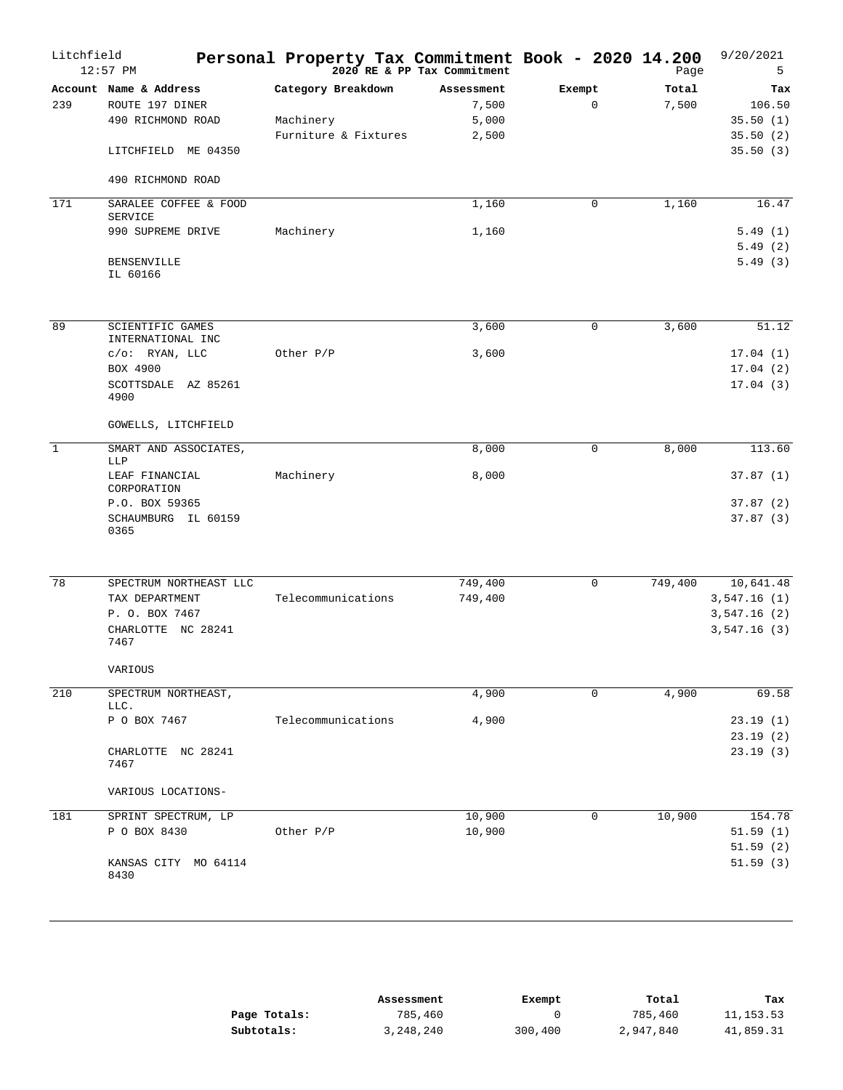| Litchfield     | $12:57$ PM                                                                                                 | Personal Property Tax Commitment Book - 2020 14.200     | 2020 RE & PP Tax Commitment           |                       | Page           | 9/20/2021<br>5                                         |
|----------------|------------------------------------------------------------------------------------------------------------|---------------------------------------------------------|---------------------------------------|-----------------------|----------------|--------------------------------------------------------|
| 239            | Account Name & Address<br>ROUTE 197 DINER<br>490 RICHMOND ROAD<br>LITCHFIELD ME 04350<br>490 RICHMOND ROAD | Category Breakdown<br>Machinery<br>Furniture & Fixtures | Assessment<br>7,500<br>5,000<br>2,500 | Exempt<br>$\mathbf 0$ | Total<br>7,500 | Tax<br>106.50<br>35.50(1)<br>35.50(2)<br>35.50(3)      |
| 171            | SARALEE COFFEE & FOOD                                                                                      |                                                         | 1,160                                 | $\mathbf 0$           | 1,160          | 16.47                                                  |
|                | <b>SERVICE</b><br>990 SUPREME DRIVE                                                                        | Machinery                                               | 1,160                                 |                       |                | 5.49(1)                                                |
|                | <b>BENSENVILLE</b><br>IL 60166                                                                             |                                                         |                                       |                       |                | 5.49(2)<br>5.49(3)                                     |
| 89             | <b>SCIENTIFIC GAMES</b><br>INTERNATIONAL INC                                                               |                                                         | 3,600                                 | $\mathbf 0$           | 3,600          | 51.12                                                  |
|                | $c/o:$ RYAN, LLC<br>BOX 4900<br>SCOTTSDALE AZ 85261<br>4900                                                | Other P/P                                               | 3,600                                 |                       |                | 17.04(1)<br>17.04(2)<br>17.04(3)                       |
|                | GOWELLS, LITCHFIELD                                                                                        |                                                         |                                       |                       |                |                                                        |
| $\overline{1}$ | SMART AND ASSOCIATES,<br>LLP                                                                               |                                                         | 8,000                                 | $\mathbf 0$           | 8,000          | 113.60                                                 |
|                | LEAF FINANCIAL<br>CORPORATION                                                                              | Machinery                                               | 8,000                                 |                       |                | 37.87(1)                                               |
|                | P.O. BOX 59365<br>SCHAUMBURG IL 60159<br>0365                                                              |                                                         |                                       |                       |                | 37.87(2)<br>37.87(3)                                   |
| 78             | SPECTRUM NORTHEAST LLC<br>TAX DEPARTMENT<br>P. O. BOX 7467<br>CHARLOTTE NC 28241<br>7467                   | Telecommunications                                      | 749,400<br>749,400                    | $\mathbf 0$           | 749,400        | 10,641.48<br>3,547.16(1)<br>3,547.16(2)<br>3,547.16(3) |
|                | VARIOUS                                                                                                    |                                                         |                                       |                       |                |                                                        |
| 210            | SPECTRUM NORTHEAST,<br>LLC.                                                                                |                                                         | 4,900                                 | 0                     | 4,900          | 69.58                                                  |
|                | P O BOX 7467                                                                                               | Telecommunications                                      | 4,900                                 |                       |                | 23.19(1)<br>23.19(2)                                   |
|                | CHARLOTTE NC 28241<br>7467                                                                                 |                                                         |                                       |                       |                | 23.19(3)                                               |
|                | VARIOUS LOCATIONS-                                                                                         |                                                         |                                       |                       |                |                                                        |
| 181            | SPRINT SPECTRUM, LP<br>P O BOX 8430                                                                        | Other P/P                                               | 10,900<br>10,900                      | 0                     | 10,900         | 154.78<br>51.59(1)<br>51.59(2)                         |
|                | KANSAS CITY MO 64114<br>8430                                                                               |                                                         |                                       |                       |                | 51.59(3)                                               |

|              | Assessment | Exempt  | Total     | Tax        |
|--------------|------------|---------|-----------|------------|
| Page Totals: | 785,460    |         | 785,460   | 11, 153.53 |
| Subtotals:   | 3,248,240  | 300,400 | 2,947,840 | 41,859.31  |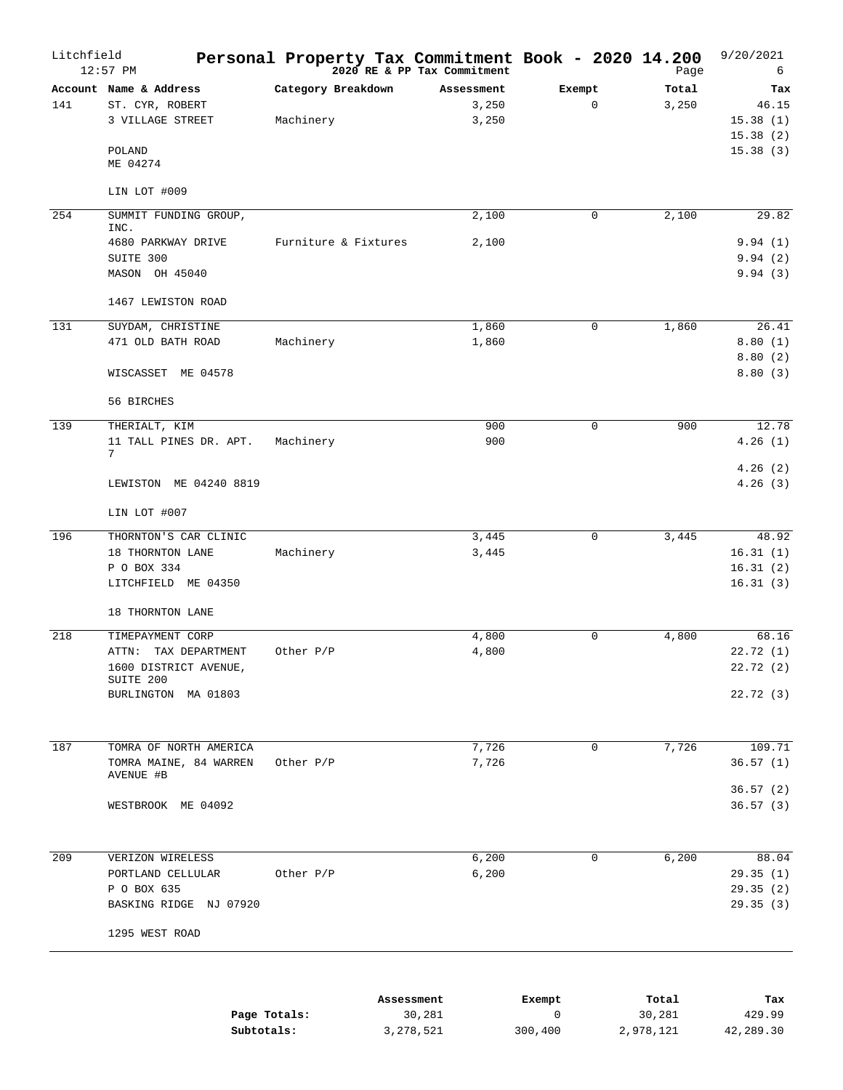| Litchfield | $12:57$ PM                                                                                               | Personal Property Tax Commitment Book - 2020 14.200 | $2020$ RE & PP Tax Commitment |                       | Page           | 9/20/2021<br>6                                   |
|------------|----------------------------------------------------------------------------------------------------------|-----------------------------------------------------|-------------------------------|-----------------------|----------------|--------------------------------------------------|
| 141        | Account Name & Address<br>ST. CYR, ROBERT<br>3 VILLAGE STREET<br>POLAND<br>ME 04274                      | Category Breakdown<br>Machinery                     | Assessment<br>3,250<br>3,250  | Exempt<br>$\mathbf 0$ | Total<br>3,250 | Tax<br>46.15<br>15.38(1)<br>15.38(2)<br>15.38(3) |
|            | LIN LOT #009                                                                                             |                                                     |                               |                       |                |                                                  |
| 254        | SUMMIT FUNDING GROUP,<br>INC.                                                                            |                                                     | 2,100                         | $\mathbf 0$           | 2,100          | 29.82                                            |
|            | 4680 PARKWAY DRIVE<br>SUITE 300<br>MASON OH 45040                                                        | Furniture & Fixtures                                | 2,100                         |                       |                | 9.94(1)<br>9.94(2)<br>9.94(3)                    |
|            | 1467 LEWISTON ROAD                                                                                       |                                                     |                               |                       |                |                                                  |
| 131        | SUYDAM, CHRISTINE<br>471 OLD BATH ROAD                                                                   | Machinery                                           | 1,860<br>1,860                | $\mathbf 0$           | 1,860          | 26.41<br>8.80(1)<br>8.80(2)                      |
|            | WISCASSET ME 04578<br>56 BIRCHES                                                                         |                                                     |                               |                       |                | 8.80(3)                                          |
| 139        | THERIALT, KIM<br>11 TALL PINES DR. APT.<br>7                                                             | Machinery                                           | 900<br>900                    | $\mathbf 0$           | 900            | 12.78<br>4.26(1)                                 |
|            | LEWISTON ME 04240 8819                                                                                   |                                                     |                               |                       |                | 4.26(2)<br>4.26(3)                               |
|            | LIN LOT #007                                                                                             |                                                     |                               |                       |                |                                                  |
| 196        | THORNTON'S CAR CLINIC<br>18 THORNTON LANE<br>P O BOX 334<br>LITCHFIELD ME 04350<br>18 THORNTON LANE      | Machinery                                           | 3,445<br>3,445                | $\mathbf 0$           | 3,445          | 48.92<br>16.31(1)<br>16.31(2)<br>16.31(3)        |
| 218        | TIMEPAYMENT CORP<br>ATTN:<br>TAX DEPARTMENT<br>1600 DISTRICT AVENUE,<br>SUITE 200<br>BURLINGTON MA 01803 | Other P/P                                           | 4,800<br>4,800                | $\mathsf 0$           | 4,800          | 68.16<br>22.72(1)<br>22.72(2)<br>22.72 (3)       |
| 187        | TOMRA OF NORTH AMERICA<br>TOMRA MAINE, 84 WARREN<br>AVENUE #B                                            | Other P/P                                           | 7,726<br>7,726                | $\mathbf 0$           | 7,726          | 109.71<br>36.57(1)<br>36.57(2)                   |
|            | WESTBROOK ME 04092                                                                                       |                                                     |                               |                       |                | 36.57(3)                                         |
| 209        | VERIZON WIRELESS<br>PORTLAND CELLULAR<br>P O BOX 635<br>BASKING RIDGE NJ 07920                           | Other P/P                                           | 6,200<br>6,200                | 0                     | 6,200          | 88.04<br>29.35(1)<br>29.35(2)<br>29.35(3)        |
|            | 1295 WEST ROAD                                                                                           |                                                     |                               |                       |                |                                                  |
|            |                                                                                                          |                                                     | Assessment                    | Exempt                | Total          | Tax                                              |

|              | ADDUDDING IIU | ------- | -----     | .         |
|--------------|---------------|---------|-----------|-----------|
| Page Totals: | 30,281        |         | 30,281    | 429.99    |
| Subtotals:   | 3, 278, 521   | 300,400 | 2,978,121 | 42,289.30 |